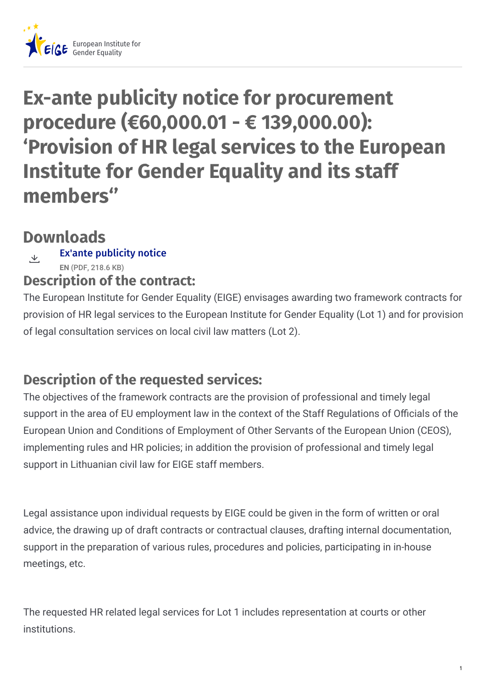

# **Ex-ante publicity notice for procurement procedure (€60,000.01 - € 139,000.00): 'Provision of HR legal services to the European Institute for Gender Equality and its staff members''**

# **Downloads**

#### Ex'ante [publicity](https://eige.europa.eu/sites/default/files/documents/eige.2021.adm_.07_lot_1_lot2_ex-ante_publicity_notice.pdf) notice **EN** (PDF, 218.6 KB)  $\overline{\mathcal{Y}}$ .

### **Description of the contract:**

The European Institute for Gender Equality (EIGE) envisages awarding two framework contracts for provision of HR legal services to the European Institute for Gender Equality (Lot 1) and for provision of legal consultation services on local civil law matters (Lot 2).

## **Description of the requested services:**

The objectives of the framework contracts are the provision of professional and timely legal support in the area of EU employment law in the context of the Staff Requlations of Officials of the European Union and Conditions of Employment of Other Servants of the European Union (CEOS), implementing rules and HR policies; in addition the provision of professional and timely legal support in Lithuanian civil law for EIGE staff members.

Legal assistance upon individual requests by EIGE could be given in the form of written or oral advice, the drawing up of draft contracts or contractual clauses, drafting internal documentation, support in the preparation of various rules, procedures and policies, participating in in-house meetings, etc.

The requested HR related legal services for Lot 1 includes representation at courts or other institutions.